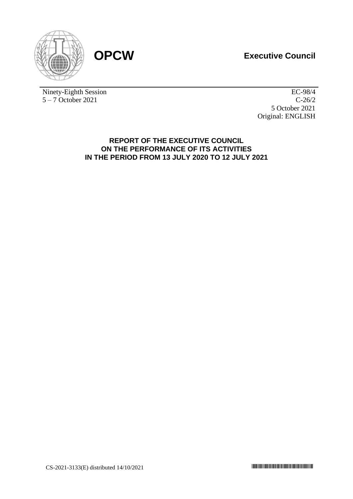



Ninety-Eighth Session  $5 - 7$  October 2021

EC-98/4 C-26/2 5 October 2021 Original: ENGLISH

## **REPORT OF THE EXECUTIVE COUNCIL ON THE PERFORMANCE OF ITS ACTIVITIES IN THE PERIOD FROM 13 JULY 2020 TO 12 JULY 2021**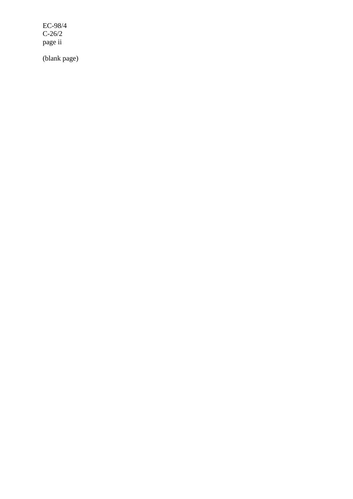EC-98/4  $C-26/2$ page ii

(blank page)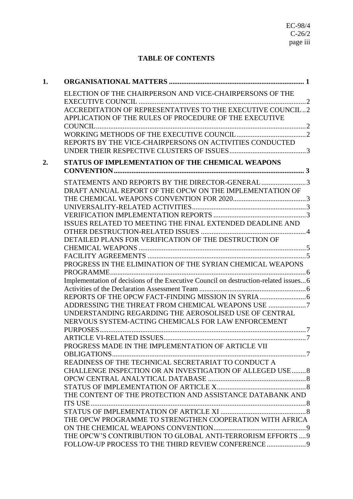# **TABLE OF CONTENTS**

| 1. |                                                                                                                      |  |
|----|----------------------------------------------------------------------------------------------------------------------|--|
|    | ELECTION OF THE CHAIRPERSON AND VICE-CHAIRPERSONS OF THE                                                             |  |
|    | ACCREDITATION OF REPRESENTATIVES TO THE EXECUTIVE COUNCIL2<br>APPLICATION OF THE RULES OF PROCEDURE OF THE EXECUTIVE |  |
|    |                                                                                                                      |  |
|    | REPORTS BY THE VICE-CHAIRPERSONS ON ACTIVITIES CONDUCTED                                                             |  |
|    |                                                                                                                      |  |
| 2. | <b>STATUS OF IMPLEMENTATION OF THE CHEMICAL WEAPONS</b>                                                              |  |
|    | STATEMENTS AND REPORTS BY THE DIRECTOR-GENERAL3                                                                      |  |
|    | DRAFT ANNUAL REPORT OF THE OPCW ON THE IMPLEMENTATION OF                                                             |  |
|    |                                                                                                                      |  |
|    |                                                                                                                      |  |
|    |                                                                                                                      |  |
|    | ISSUES RELATED TO MEETING THE FINAL EXTENDED DEADLINE AND                                                            |  |
|    |                                                                                                                      |  |
|    | DETAILED PLANS FOR VERIFICATION OF THE DESTRUCTION OF                                                                |  |
|    |                                                                                                                      |  |
|    | PROGRESS IN THE ELIMINATION OF THE SYRIAN CHEMICAL WEAPONS                                                           |  |
|    |                                                                                                                      |  |
|    | Implementation of decisions of the Executive Council on destruction-related issues6                                  |  |
|    |                                                                                                                      |  |
|    |                                                                                                                      |  |
|    | ADDRESSING THE THREAT FROM CHEMICAL WEAPONS USE 7                                                                    |  |
|    | UNDERSTANDING REGARDING THE AEROSOLISED USE OF CENTRAL                                                               |  |
|    | NERVOUS SYSTEM-ACTING CHEMICALS FOR LAW ENFORCEMENT                                                                  |  |
|    |                                                                                                                      |  |
|    |                                                                                                                      |  |
|    | PROGRESS MADE IN THE IMPLEMENTATION OF ARTICLE VII                                                                   |  |
|    | OBLIGATIONS                                                                                                          |  |
|    | READINESS OF THE TECHNICAL SECRETARIAT TO CONDUCT A                                                                  |  |
|    | CHALLENGE INSPECTION OR AN INVESTIGATION OF ALLEGED USE  8                                                           |  |
|    |                                                                                                                      |  |
|    |                                                                                                                      |  |
|    | THE CONTENT OF THE PROTECTION AND ASSISTANCE DATABANK AND<br><b>ITS USE</b>                                          |  |
|    |                                                                                                                      |  |
|    | THE OPCW PROGRAMME TO STRENGTHEN COOPERATION WITH AFRICA                                                             |  |
|    |                                                                                                                      |  |
|    | THE OPCW'S CONTRIBUTION TO GLOBAL ANTI-TERRORISM EFFORTS  9                                                          |  |
|    | FOLLOW-UP PROCESS TO THE THIRD REVIEW CONFERENCE                                                                     |  |
|    |                                                                                                                      |  |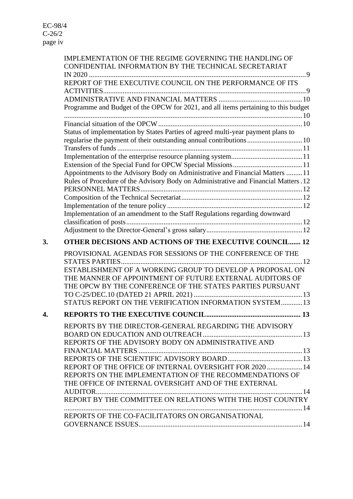|    | IMPLEMENTATION OF THE REGIME GOVERNING THE HANDLING OF                                                                                                              |
|----|---------------------------------------------------------------------------------------------------------------------------------------------------------------------|
|    | CONFIDENTIAL INFORMATION BY THE TECHNICAL SECRETARIAT                                                                                                               |
|    |                                                                                                                                                                     |
|    | REPORT OF THE EXECUTIVE COUNCIL ON THE PERFORMANCE OF ITS                                                                                                           |
|    |                                                                                                                                                                     |
|    | Programme and Budget of the OPCW for 2021, and all items pertaining to this budget                                                                                  |
|    |                                                                                                                                                                     |
|    |                                                                                                                                                                     |
|    | Status of implementation by States Parties of agreed multi-year payment plans to                                                                                    |
|    | regularise the payment of their outstanding annual contributions10                                                                                                  |
|    |                                                                                                                                                                     |
|    |                                                                                                                                                                     |
|    |                                                                                                                                                                     |
|    | Appointments to the Advisory Body on Administrative and Financial Matters 11<br>Rules of Procedure of the Advisory Body on Administrative and Financial Matters. 12 |
|    |                                                                                                                                                                     |
|    |                                                                                                                                                                     |
|    |                                                                                                                                                                     |
|    | Implementation of an amendment to the Staff Regulations regarding downward                                                                                          |
|    |                                                                                                                                                                     |
|    |                                                                                                                                                                     |
| 3. | <b>OTHER DECISIONS AND ACTIONS OF THE EXECUTIVE COUNCIL 12</b>                                                                                                      |
|    | PROVISIONAL AGENDAS FOR SESSIONS OF THE CONFERENCE OF THE                                                                                                           |
|    |                                                                                                                                                                     |
|    | ESTABLISHMENT OF A WORKING GROUP TO DEVELOP A PROPOSAL ON                                                                                                           |
|    | THE MANNER OF APPOINTMENT OF FUTURE EXTERNAL AUDITORS OF                                                                                                            |
|    | THE OPCW BY THE CONFERENCE OF THE STATES PARTIES PURSUANT                                                                                                           |
|    |                                                                                                                                                                     |
|    | STATUS REPORT ON THE VERIFICATION INFORMATION SYSTEM 13                                                                                                             |
| 4. |                                                                                                                                                                     |
|    | REPORTS BY THE DIRECTOR-GENERAL REGARDING THE ADVISORY                                                                                                              |
|    |                                                                                                                                                                     |
|    | REPORTS OF THE ADVISORY BODY ON ADMINISTRATIVE AND                                                                                                                  |
|    |                                                                                                                                                                     |
|    |                                                                                                                                                                     |
|    | REPORT OF THE OFFICE OF INTERNAL OVERSIGHT FOR 2020  14                                                                                                             |
|    | REPORTS ON THE IMPLEMENTATION OF THE RECOMMENDATIONS OF                                                                                                             |
|    | THE OFFICE OF INTERNAL OVERSIGHT AND OF THE EXTERNAL                                                                                                                |
|    | . 14                                                                                                                                                                |
|    | REPORT BY THE COMMITTEE ON RELATIONS WITH THE HOST COUNTRY                                                                                                          |
|    | REPORTS OF THE CO-FACILITATORS ON ORGANISATIONAL                                                                                                                    |
|    |                                                                                                                                                                     |
|    |                                                                                                                                                                     |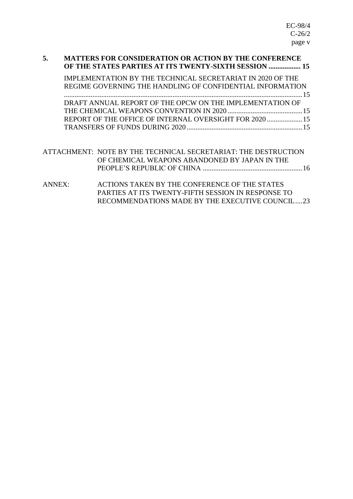| 5.     | <b>MATTERS FOR CONSIDERATION OR ACTION BY THE CONFERENCE</b><br>OF THE STATES PARTIES AT ITS TWENTY-SIXTH SESSION  15   |
|--------|-------------------------------------------------------------------------------------------------------------------------|
|        | IMPLEMENTATION BY THE TECHNICAL SECRETARIAT IN 2020 OF THE<br>REGIME GOVERNING THE HANDLING OF CONFIDENTIAL INFORMATION |
|        | DRAFT ANNUAL REPORT OF THE OPCW ON THE IMPLEMENTATION OF                                                                |
|        |                                                                                                                         |
|        | REPORT OF THE OFFICE OF INTERNAL OVERSIGHT FOR 2020  15                                                                 |
|        |                                                                                                                         |
|        | ATTACHMENT: NOTE BY THE TECHNICAL SECRETARIAT: THE DESTRUCTION                                                          |
|        | OF CHEMICAL WEAPONS ABANDONED BY JAPAN IN THE                                                                           |
|        |                                                                                                                         |
| ANNEX: | ACTIONS TAKEN BY THE CONFERENCE OF THE STATES                                                                           |
|        | PARTIES AT ITS TWENTY-FIFTH SESSION IN RESPONSE TO                                                                      |

RECOMMENDATIONS MADE BY THE EXECUTIVE COUNCIL....23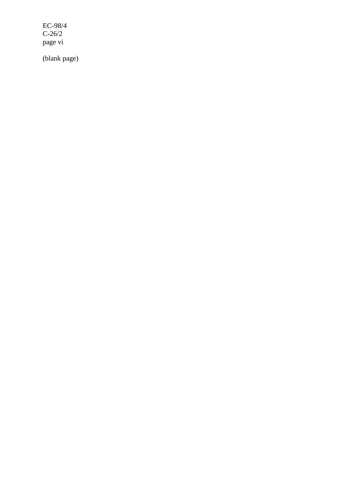EC-98/4  $C-26/2$ page vi

(blank page)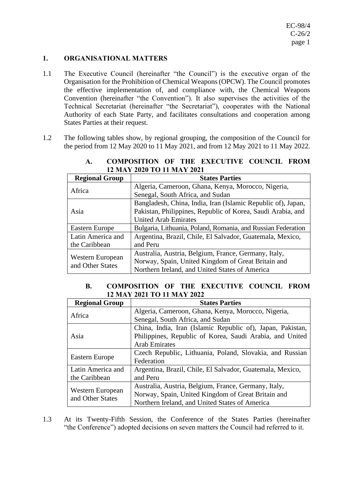## **1. ORGANISATIONAL MATTERS**

- 1.1 The Executive Council (hereinafter "the Council") is the executive organ of the Organisation for the Prohibition of Chemical Weapons (OPCW). The Council promotes the effective implementation of, and compliance with, the Chemical Weapons Convention (hereinafter "the Convention"). It also supervises the activities of the Technical Secretariat (hereinafter "the Secretariat"), cooperates with the National Authority of each State Party, and facilitates consultations and cooperation among States Parties at their request.
- 1.2 The following tables show, by regional grouping, the composition of the Council for the period from 12 May 2020 to 11 May 2021, and from 12 May 2021 to 11 May 2022.

| <b>Regional Group</b>                | <b>States Parties</b>                                        |
|--------------------------------------|--------------------------------------------------------------|
| Africa                               | Algeria, Cameroon, Ghana, Kenya, Morocco, Nigeria,           |
|                                      | Senegal, South Africa, and Sudan                             |
|                                      | Bangladesh, China, India, Iran (Islamic Republic of), Japan, |
| Asia                                 | Pakistan, Philippines, Republic of Korea, Saudi Arabia, and  |
|                                      | <b>United Arab Emirates</b>                                  |
| Eastern Europe                       | Bulgaria, Lithuania, Poland, Romania, and Russian Federation |
| Latin America and                    | Argentina, Brazil, Chile, El Salvador, Guatemala, Mexico,    |
| the Caribbean                        | and Peru                                                     |
|                                      | Australia, Austria, Belgium, France, Germany, Italy,         |
| Western European<br>and Other States | Norway, Spain, United Kingdom of Great Britain and           |
|                                      | Northern Ireland, and United States of America               |

## **A. COMPOSITION OF THE EXECUTIVE COUNCIL FROM 12 MAY 2020 TO 11 MAY 2021**

## **B. COMPOSITION OF THE EXECUTIVE COUNCIL FROM 12 MAY 2021 TO 11 MAY 2022**

| <b>Regional Group</b>                | <b>States Parties</b>                                      |
|--------------------------------------|------------------------------------------------------------|
| Africa                               | Algeria, Cameroon, Ghana, Kenya, Morocco, Nigeria,         |
|                                      | Senegal, South Africa, and Sudan                           |
|                                      | China, India, Iran (Islamic Republic of), Japan, Pakistan, |
| Asia                                 | Philippines, Republic of Korea, Saudi Arabia, and United   |
|                                      | <b>Arab Emirates</b>                                       |
|                                      | Czech Republic, Lithuania, Poland, Slovakia, and Russian   |
| Eastern Europe                       | Federation                                                 |
| Latin America and                    | Argentina, Brazil, Chile, El Salvador, Guatemala, Mexico,  |
| the Caribbean                        | and Peru                                                   |
|                                      | Australia, Austria, Belgium, France, Germany, Italy,       |
| Western European<br>and Other States | Norway, Spain, United Kingdom of Great Britain and         |
|                                      | Northern Ireland, and United States of America             |

1.3 At its Twenty-Fifth Session, the Conference of the States Parties (hereinafter "the Conference") adopted decisions on seven matters the Council had referred to it.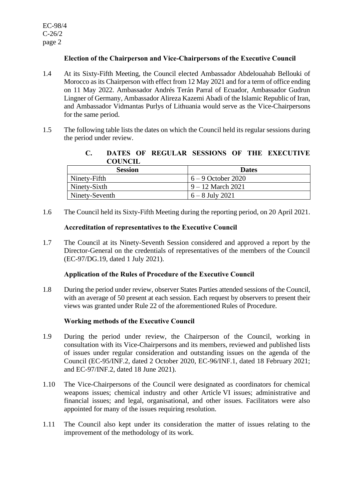## **Election of the Chairperson and Vice-Chairpersons of the Executive Council**

- 1.4 At its Sixty-Fifth Meeting, the Council elected Ambassador Abdelouahab Bellouki of Morocco as its Chairperson with effect from 12 May 2021 and for a term of office ending on 11 May 2022. Ambassador Andrés Terán Parral of Ecuador, Ambassador Gudrun Lingner of Germany, Ambassador Alireza Kazemi Abadi of the Islamic Republic of Iran, and Ambassador Vidmantas Purlys of Lithuania would serve as the Vice-Chairpersons for the same period.
- 1.5 The following table lists the dates on which the Council held its regular sessions during the period under review.

## **C. DATES OF REGULAR SESSIONS OF THE EXECUTIVE COUNCIL**

| <b>Session</b> | <b>Dates</b>         |
|----------------|----------------------|
| Ninety-Fifth   | $6 - 9$ October 2020 |
| Ninety-Sixth   | $9 - 12$ March 2021  |
| Ninety-Seventh | $6 - 8$ July 2021    |

1.6 The Council held its Sixty-Fifth Meeting during the reporting period, on 20 April 2021.

### **Accreditation of representatives to the Executive Council**

1.7 The Council at its Ninety-Seventh Session considered and approved a report by the Director-General on the credentials of representatives of the members of the Council (EC-97/DG.19, dated 1 July 2021).

#### **Application of the Rules of Procedure of the Executive Council**

1.8 During the period under review, observer States Parties attended sessions of the Council, with an average of 50 present at each session. Each request by observers to present their views was granted under Rule 22 of the aforementioned Rules of Procedure.

## **Working methods of the Executive Council**

- 1.9 During the period under review, the Chairperson of the Council, working in consultation with its Vice-Chairpersons and its members, reviewed and published lists of issues under regular consideration and outstanding issues on the agenda of the Council (EC-95/INF.2, dated 2 October 2020, EC-96/INF.1, dated 18 February 2021; and EC-97/INF.2, dated 18 June 2021).
- 1.10 The Vice-Chairpersons of the Council were designated as coordinators for chemical weapons issues; chemical industry and other Article VI issues; administrative and financial issues; and legal, organisational, and other issues. Facilitators were also appointed for many of the issues requiring resolution.
- 1.11 The Council also kept under its consideration the matter of issues relating to the improvement of the methodology of its work.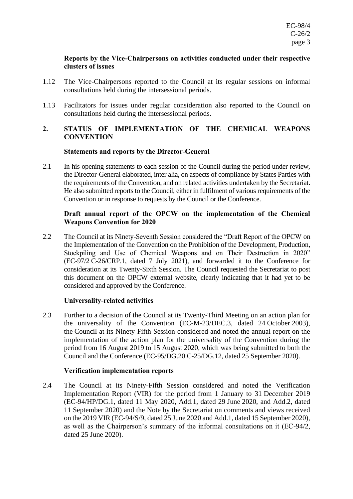### **Reports by the Vice-Chairpersons on activities conducted under their respective clusters of issues**

- 1.12 The Vice-Chairpersons reported to the Council at its regular sessions on informal consultations held during the intersessional periods.
- 1.13 Facilitators for issues under regular consideration also reported to the Council on consultations held during the intersessional periods.

## **2. STATUS OF IMPLEMENTATION OF THE CHEMICAL WEAPONS CONVENTION**

#### **Statements and reports by the Director-General**

2.1 In his opening statements to each session of the Council during the period under review, the Director-General elaborated, inter alia, on aspects of compliance by States Parties with the requirements of the Convention, and on related activities undertaken by the Secretariat. He also submitted reports to the Council, either in fulfilment of various requirements of the Convention or in response to requests by the Council or the Conference.

## **Draft annual report of the OPCW on the implementation of the Chemical Weapons Convention for 2020**

2.2 The Council at its Ninety-Seventh Session considered the "Draft Report of the OPCW on the Implementation of the Convention on the Prohibition of the Development, Production, Stockpiling and Use of Chemical Weapons and on Their Destruction in 2020" (EC-97/2 C-26/CRP.1, dated 7 July 2021), and forwarded it to the Conference for consideration at its Twenty-Sixth Session. The Council requested the Secretariat to post this document on the OPCW external website, clearly indicating that it had yet to be considered and approved by the Conference.

## **Universality-related activities**

2.3 Further to a decision of the Council at its Twenty-Third Meeting on an action plan for the universality of the Convention (EC-M-23/DEC.3, dated 24 October 2003), the Council at its Ninety-Fifth Session considered and noted the annual report on the implementation of the action plan for the universality of the Convention during the period from 16 August 2019 to 15 August 2020, which was being submitted to both the Council and the Conference (EC-95/DG.20 C-25/DG.12, dated 25 September 2020).

#### **Verification implementation reports**

2.4 The Council at its Ninety-Fifth Session considered and noted the Verification Implementation Report (VIR) for the period from 1 January to 31 December 2019 (EC-94/HP/DG.1, dated 11 May 2020, Add.1, dated 29 June 2020, and Add.2, dated 11 September 2020) and the Note by the Secretariat on comments and views received on the 2019 VIR (EC-94/S/9, dated 25 June 2020 and Add.1, dated 15 September 2020), as well as the Chairperson's summary of the informal consultations on it (EC-94/2, dated 25 June 2020).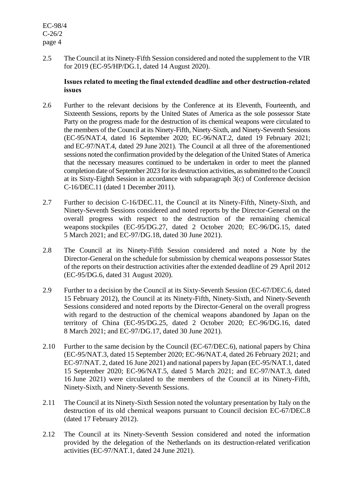2.5 The Council at its Ninety-Fifth Session considered and noted the supplement to the VIR for 2019 (EC-95/HP/DG.1, dated 14 August 2020).

## **Issues related to meeting the final extended deadline and other destruction-related issues**

- 2.6 Further to the relevant decisions by the Conference at its Eleventh, Fourteenth, and Sixteenth Sessions, reports by the United States of America as the sole possessor State Party on the progress made for the destruction of its chemical weapons were circulated to the members of the Council at its Ninety-Fifth, Ninety-Sixth, and Ninety-Seventh Sessions (EC-95/NAT.4, dated 16 September 2020; EC-96/NAT.2, dated 19 February 2021; and EC-97/NAT.4, dated 29 June 2021). The Council at all three of the aforementioned sessions noted the confirmation provided by the delegation of the United States of America that the necessary measures continued to be undertaken in order to meet the planned completion date of September 2023 for its destruction activities, as submitted to the Council at its Sixty-Eighth Session in accordance with subparagraph 3(c) of Conference decision C-16/DEC.11 (dated 1 December 2011).
- 2.7 Further to decision C-16/DEC.11, the Council at its Ninety-Fifth, Ninety-Sixth, and Ninety-Seventh Sessions considered and noted reports by the Director-General on the overall progress with respect to the destruction of the remaining chemical weapons stockpiles (EC-95/DG.27, dated 2 October 2020; EC-96/DG.15, dated 5 March 2021; and EC-97/DG.18, dated 30 June 2021).
- 2.8 The Council at its Ninety-Fifth Session considered and noted a Note by the Director-General on the schedule for submission by chemical weapons possessor States of the reports on their destruction activities after the extended deadline of 29 April 2012 (EC-95/DG.6, dated 31 August 2020).
- 2.9 Further to a decision by the Council at its Sixty-Seventh Session (EC-67/DEC.6, dated 15 February 2012), the Council at its Ninety-Fifth, Ninety-Sixth, and Ninety-Seventh Sessions considered and noted reports by the Director-General on the overall progress with regard to the destruction of the chemical weapons abandoned by Japan on the territory of China (EC-95/DG.25, dated 2 October 2020; EC-96/DG.16, dated 8 March 2021; and EC-97/DG.17, dated 30 June 2021).
- 2.10 Further to the same decision by the Council (EC-67/DEC.6), national papers by China (EC-95/NAT.3, dated 15 September 2020; EC-96/NAT.4, dated 26 February 2021; and EC-97/NAT. 2, dated 16 June 2021) and national papers by Japan (EC-95/NAT.1, dated 15 September 2020; EC-96/NAT.5, dated 5 March 2021; and EC-97/NAT.3, dated 16 June 2021) were circulated to the members of the Council at its Ninety-Fifth, Ninety-Sixth, and Ninety-Seventh Sessions.
- 2.11 The Council at its Ninety-Sixth Session noted the voluntary presentation by Italy on the destruction of its old chemical weapons pursuant to Council decision EC-67/DEC.8 (dated 17 February 2012).
- 2.12 The Council at its Ninety-Seventh Session considered and noted the information provided by the delegation of the Netherlands on its destruction-related verification activities (EC-97/NAT.1, dated 24 June 2021).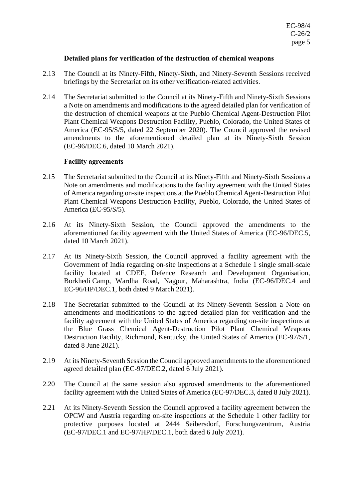## **Detailed plans for verification of the destruction of chemical weapons**

- 2.13 The Council at its Ninety-Fifth, Ninety-Sixth, and Ninety-Seventh Sessions received briefings by the Secretariat on its other verification-related activities.
- 2.14 The Secretariat submitted to the Council at its Ninety-Fifth and Ninety-Sixth Sessions a Note on amendments and modifications to the agreed detailed plan for verification of the destruction of chemical weapons at the Pueblo Chemical Agent-Destruction Pilot Plant Chemical Weapons Destruction Facility, Pueblo, Colorado, the United States of America (EC-95/S/5, dated 22 September 2020). The Council approved the revised amendments to the aforementioned detailed plan at its Ninety-Sixth Session (EC-96/DEC.6, dated 10 March 2021).

#### **Facility agreements**

- 2.15 The Secretariat submitted to the Council at its Ninety-Fifth and Ninety-Sixth Sessions a Note on amendments and modifications to the facility agreement with the United States of America regarding on-site inspections at the Pueblo Chemical Agent-Destruction Pilot Plant Chemical Weapons Destruction Facility, Pueblo, Colorado, the United States of America (EC-95/S/5).
- 2.16 At its Ninety-Sixth Session, the Council approved the amendments to the aforementioned facility agreement with the United States of America (EC-96/DEC.5, dated 10 March 2021).
- 2.17 At its Ninety-Sixth Session, the Council approved a facility agreement with the Government of India regarding on-site inspections at a Schedule 1 single small-scale facility located at CDEF, Defence Research and Development Organisation, Borkhedi Camp, Wardha Road, Nagpur, Maharashtra, India (EC-96/DEC.4 and EC-96/HP/DEC.1, both dated 9 March 2021).
- 2.18 The Secretariat submitted to the Council at its Ninety-Seventh Session a Note on amendments and modifications to the agreed detailed plan for verification and the facility agreement with the United States of America regarding on-site inspections at the Blue Grass Chemical Agent-Destruction Pilot Plant Chemical Weapons Destruction Facility, Richmond, Kentucky, the United States of America (EC-97/S/1, dated 8 June 2021).
- 2.19 At its Ninety-Seventh Session the Council approved amendments to the aforementioned agreed detailed plan (EC-97/DEC.2, dated 6 July 2021).
- 2.20 The Council at the same session also approved amendments to the aforementioned facility agreement with the United States of America (EC-97/DEC.3, dated 8 July 2021).
- 2.21 At its Ninety-Seventh Session the Council approved a facility agreement between the OPCW and Austria regarding on-site inspections at the Schedule 1 other facility for protective purposes located at 2444 Seibersdorf, Forschungszentrum, Austria (EC-97/DEC.1 and EC-97/HP/DEC.1, both dated 6 July 2021).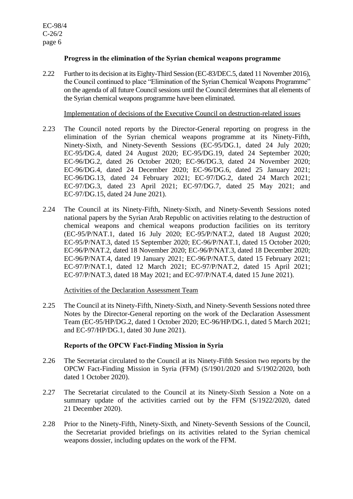## **Progress in the elimination of the Syrian chemical weapons programme**

2.22 Further to its decision at its Eighty-Third Session (EC-83/DEC.5, dated 11 November 2016), the Council continued to place "Elimination of the Syrian Chemical Weapons Programme" on the agenda of all future Council sessions until the Council determines that all elements of the Syrian chemical weapons programme have been eliminated.

Implementation of decisions of the Executive Council on destruction-related issues

- 2.23 The Council noted reports by the Director-General reporting on progress in the elimination of the Syrian chemical weapons programme at its Ninety-Fifth, Ninety-Sixth, and Ninety-Seventh Sessions (EC-95/DG.1, dated 24 July 2020; EC-95/DG.4, dated 24 August 2020; EC-95/DG.19, dated 24 September 2020; EC-96/DG.2, dated 26 October 2020; EC-96/DG.3, dated 24 November 2020; EC-96/DG.4, dated 24 December 2020; EC-96/DG.6, dated 25 January 2021; EC-96/DG.13, dated 24 February 2021; EC-97/DG.2, dated 24 March 2021; EC-97/DG.3, dated 23 April 2021; EC-97/DG.7, dated 25 May 2021; and EC-97/DG.15, dated 24 June 2021).
- 2.24 The Council at its Ninety-Fifth, Ninety-Sixth, and Ninety-Seventh Sessions noted national papers by the Syrian Arab Republic on activities relating to the destruction of chemical weapons and chemical weapons production facilities on its territory (EC-95/P/NAT.1, dated 16 July 2020; EC-95/P/NAT.2, dated 18 August 2020; EC-95/P/NAT.3, dated 15 September 2020; EC-96/P/NAT.1, dated 15 October 2020; EC-96/P/NAT.2, dated 18 November 2020; EC-96/P/NAT.3, dated 18 December 2020; EC-96/P/NAT.4, dated 19 January 2021; EC-96/P/NAT.5, dated 15 February 2021; EC-97/P/NAT.1, dated 12 March 2021; EC-97/P/NAT.2, dated 15 April 2021; EC-97/P/NAT.3, dated 18 May 2021; and EC-97/P/NAT.4, dated 15 June 2021).

## Activities of the Declaration Assessment Team

2.25 The Council at its Ninety-Fifth, Ninety-Sixth, and Ninety-Seventh Sessions noted three Notes by the Director-General reporting on the work of the Declaration Assessment Team (EC-95/HP/DG.2, dated 1 October 2020; EC-96/HP/DG.1, dated 5 March 2021; and EC-97/HP/DG.1, dated 30 June 2021).

## **Reports of the OPCW Fact-Finding Mission in Syria**

- 2.26 The Secretariat circulated to the Council at its Ninety-Fifth Session two reports by the OPCW Fact-Finding Mission in Syria (FFM) (S/1901/2020 and S/1902/2020, both dated 1 October 2020).
- 2.27 The Secretariat circulated to the Council at its Ninety-Sixth Session a Note on a summary update of the activities carried out by the FFM (S/1922/2020, dated 21 December 2020).
- 2.28 Prior to the Ninety-Fifth, Ninety-Sixth, and Ninety-Seventh Sessions of the Council, the Secretariat provided briefings on its activities related to the Syrian chemical weapons dossier, including updates on the work of the FFM.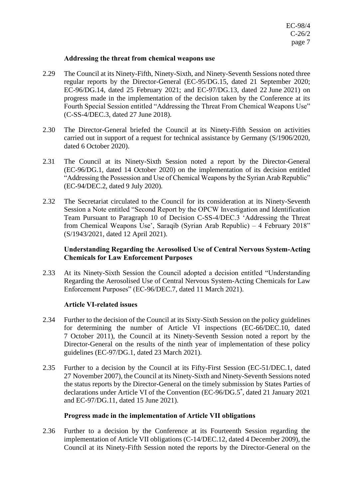### **Addressing the threat from chemical weapons use**

- 2.29 The Council at its Ninety-Fifth, Ninety-Sixth, and Ninety-Seventh Sessions noted three regular reports by the Director-General (EC-95/DG.15, dated 21 September 2020; EC-96/DG.14, dated 25 February 2021; and EC-97/DG.13, dated 22 June 2021) on progress made in the implementation of the decision taken by the Conference at its Fourth Special Session entitled "Addressing the Threat From Chemical Weapons Use" (C-SS-4/DEC.3, dated 27 June 2018).
- 2.30 The Director-General briefed the Council at its Ninety-Fifth Session on activities carried out in support of a request for technical assistance by Germany (S/1906/2020, dated 6 October 2020).
- 2.31 The Council at its Ninety-Sixth Session noted a report by the Director-General (EC-96/DG.1, dated 14 October 2020) on the implementation of its decision entitled "Addressing the Possession and Use of Chemical Weapons by the Syrian Arab Republic" (EC-94/DEC.2, dated 9 July 2020).
- 2.32 The Secretariat circulated to the Council for its consideration at its Ninety-Seventh Session a Note entitled "Second Report by the OPCW Investigation and Identification Team Pursuant to Paragraph 10 of Decision C-SS-4/DEC.3 'Addressing the Threat from Chemical Weapons Use', Saraqib (Syrian Arab Republic) – 4 February 2018" (S/1943/2021, dated 12 April 2021).

## **Understanding Regarding the Aerosolised Use of Central Nervous System-Acting Chemicals for Law Enforcement Purposes**

2.33 At its Ninety-Sixth Session the Council adopted a decision entitled "Understanding Regarding the Aerosolised Use of Central Nervous System-Acting Chemicals for Law Enforcement Purposes" (EC-96/DEC.7, dated 11 March 2021).

## **Article VI-related issues**

- 2.34 Further to the decision of the Council at its Sixty-Sixth Session on the policy guidelines for determining the number of Article VI inspections (EC-66/DEC.10, dated 7 October 2011), the Council at its Ninety-Seventh Session noted a report by the Director-General on the results of the ninth year of implementation of these policy guidelines (EC-97/DG.1, dated 23 March 2021).
- 2.35 Further to a decision by the Council at its Fifty-First Session (EC-51/DEC.1, dated 27 November 2007), the Council at its Ninety-Sixth and Ninety-Seventh Sessions noted the status reports by the Director-General on the timely submission by States Parties of declarations under Article VI of the Convention (EC-96/DG.5\* , dated 21 January 2021 and EC-97/DG.11, dated 15 June 2021).

## **Progress made in the implementation of Article VII obligations**

2.36 Further to a decision by the Conference at its Fourteenth Session regarding the implementation of Article VII obligations (C-14/DEC.12, dated 4 December 2009), the Council at its Ninety-Fifth Session noted the reports by the Director-General on the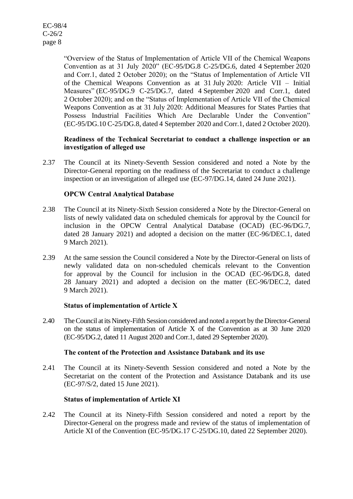"Overview of the Status of Implementation of Article VII of the Chemical Weapons Convention as at 31 July 2020" (EC-95/DG.8 C-25/DG.6, dated 4 September 2020 and Corr.1, dated 2 October 2020); on the "Status of Implementation of Article VII of the Chemical Weapons Convention as at 31 July 2020: Article VII – Initial Measures" (EC-95/DG.9 C-25/DG.7, dated 4 September 2020 and Corr.1, dated 2 October 2020); and on the "Status of Implementation of Article VII of the Chemical Weapons Convention as at 31 July 2020: Additional Measures for States Parties that Possess Industrial Facilities Which Are Declarable Under the Convention" (EC-95/DG.10 C-25/DG.8, dated 4 September 2020 and Corr.1, dated 2 October 2020).

## **Readiness of the Technical Secretariat to conduct a challenge inspection or an investigation of alleged use**

2.37 The Council at its Ninety-Seventh Session considered and noted a Note by the Director-General reporting on the readiness of the Secretariat to conduct a challenge inspection or an investigation of alleged use (EC-97/DG.14, dated 24 June 2021).

## **OPCW Central Analytical Database**

- 2.38 The Council at its Ninety-Sixth Session considered a Note by the Director-General on lists of newly validated data on scheduled chemicals for approval by the Council for inclusion in the OPCW Central Analytical Database (OCAD) (EC-96/DG.7, dated 28 January 2021) and adopted a decision on the matter (EC-96/DEC.1, dated 9 March 2021).
- 2.39 At the same session the Council considered a Note by the Director-General on lists of newly validated data on non-scheduled chemicals relevant to the Convention for approval by the Council for inclusion in the OCAD (EC-96/DG.8, dated 28 January 2021) and adopted a decision on the matter (EC-96/DEC.2, dated 9 March 2021).

#### **Status of implementation of Article X**

2.40 The Council at its Ninety-Fifth Session considered and noted a report by the Director-General on the status of implementation of Article X of the Convention as at 30 June 2020 (EC-95/DG.2, dated 11 August 2020 and Corr.1, dated 29 September 2020).

#### **The content of the Protection and Assistance Databank and its use**

2.41 The Council at its Ninety-Seventh Session considered and noted a Note by the Secretariat on the content of the Protection and Assistance Databank and its use (EC-97/S/2, dated 15 June 2021).

#### **Status of implementation of Article XI**

2.42 The Council at its Ninety-Fifth Session considered and noted a report by the Director-General on the progress made and review of the status of implementation of Article XI of the Convention (EC-95/DG.17 C-25/DG.10, dated 22 September 2020).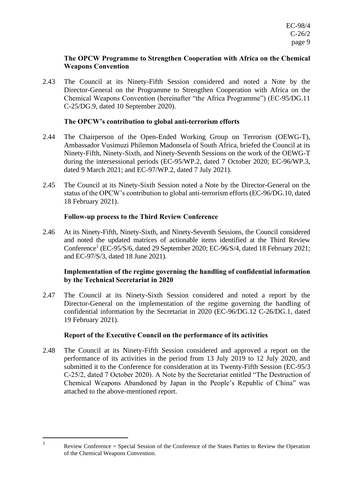## **The OPCW Programme to Strengthen Cooperation with Africa on the Chemical Weapons Convention**

2.43 The Council at its Ninety-Fifth Session considered and noted a Note by the Director-General on the Programme to Strengthen Cooperation with Africa on the Chemical Weapons Convention (hereinafter "the Africa Programme") (EC-95/DG.11 C-25/DG.9, dated 10 September 2020).

## **The OPCW's contribution to global anti-terrorism efforts**

- 2.44 The Chairperson of the Open-Ended Working Group on Terrorism (OEWG-T), Ambassador Vusimuzi Philemon Madonsela of South Africa, briefed the Council at its Ninety-Fifth, Ninety-Sixth, and Ninety-Seventh Sessions on the work of the OEWG-T during the intersessional periods (EC-95/WP.2, dated 7 October 2020; EC-96/WP.3, dated 9 March 2021; and EC-97/WP.2, dated 7 July 2021).
- 2.45 The Council at its Ninety-Sixth Session noted a Note by the Director-General on the status of the OPCW's contribution to global anti-terrorism efforts (EC-96/DG.10, dated 18 February 2021).

### **Follow-up process to the Third Review Conference**

2.46 At its Ninety-Fifth, Ninety-Sixth, and Ninety-Seventh Sessions, the Council considered and noted the updated matrices of actionable items identified at the Third Review Conference<sup>1</sup> (EC-95/S/6, dated 29 September 2020; EC-96/S/4, dated 18 February 2021; and EC-97/S/3, dated 18 June 2021).

### **Implementation of the regime governing the handling of confidential information by the Technical Secretariat in 2020**

2.47 The Council at its Ninety-Sixth Session considered and noted a report by the Director-General on the implementation of the regime governing the handling of confidential information by the Secretariat in 2020 (EC-96/DG.12 C-26/DG.1, dated 19 February 2021).

#### **Report of the Executive Council on the performance of its activities**

2.48 The Council at its Ninety-Fifth Session considered and approved a report on the performance of its activities in the period from 13 July 2019 to 12 July 2020, and submitted it to the Conference for consideration at its Twenty-Fifth Session (EC-95/3 C-25/2, dated 7 October 2020). A Note by the Secretariat entitled "The Destruction of Chemical Weapons Abandoned by Japan in the People's Republic of China" was attached to the above-mentioned report.

1

Review Conference = Special Session of the Conference of the States Parties to Review the Operation of the Chemical Weapons Convention.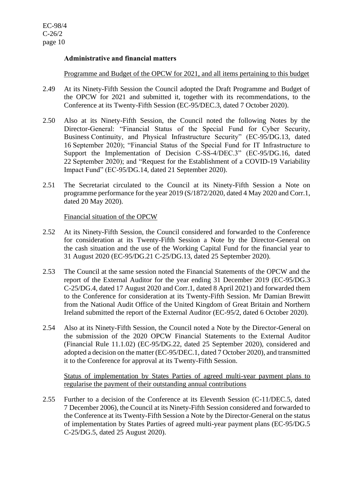## **Administrative and financial matters**

Programme and Budget of the OPCW for 2021, and all items pertaining to this budget

- 2.49 At its Ninety-Fifth Session the Council adopted the Draft Programme and Budget of the OPCW for 2021 and submitted it, together with its recommendations, to the Conference at its Twenty-Fifth Session (EC-95/DEC.3, dated 7 October 2020).
- 2.50 Also at its Ninety-Fifth Session, the Council noted the following Notes by the Director-General: "Financial Status of the Special Fund for Cyber Security, Business Continuity, and Physical Infrastructure Security" (EC-95/DG.13, dated 16 September 2020); "Financial Status of the Special Fund for IT Infrastructure to Support the Implementation of Decision C-SS-4/DEC.3" (EC-95/DG.16, dated 22 September 2020); and "Request for the Establishment of a COVID-19 Variability Impact Fund" (EC-95/DG.14, dated 21 September 2020).
- 2.51 The Secretariat circulated to the Council at its Ninety-Fifth Session a Note on programme performance for the year 2019 (S/1872/2020, dated 4 May 2020 and Corr.1, dated 20 May 2020).

### Financial situation of the OPCW

- 2.52 At its Ninety-Fifth Session, the Council considered and forwarded to the Conference for consideration at its Twenty-Fifth Session a Note by the Director-General on the cash situation and the use of the Working Capital Fund for the financial year to 31 August 2020 (EC-95/DG.21 C-25/DG.13, dated 25 September 2020).
- 2.53 The Council at the same session noted the Financial Statements of the OPCW and the report of the External Auditor for the year ending 31 December 2019 (EC-95/DG.3 C-25/DG.4, dated 17 August 2020 and Corr.1, dated 8 April 2021) and forwarded them to the Conference for consideration at its Twenty-Fifth Session. Mr Damian Brewitt from the National Audit Office of the United Kingdom of Great Britain and Northern Ireland submitted the report of the External Auditor (EC-95/2, dated 6 October 2020).
- 2.54 Also at its Ninety-Fifth Session, the Council noted a Note by the Director-General on the submission of the 2020 OPCW Financial Statements to the External Auditor (Financial Rule 11.1.02) (EC-95/DG.22, dated 25 September 2020), considered and adopted a decision on the matter (EC-95/DEC.1, dated 7 October 2020), and transmitted it to the Conference for approval at its Twenty-Fifth Session.

Status of implementation by States Parties of agreed multi-year payment plans to regularise the payment of their outstanding annual contributions

2.55 Further to a decision of the Conference at its Eleventh Session (C-11/DEC.5, dated 7 December 2006), the Council at its Ninety-Fifth Session considered and forwarded to the Conference at its Twenty-Fifth Session a Note by the Director-General on the status of implementation by States Parties of agreed multi-year payment plans (EC-95/DG.5 C-25/DG.5, dated 25 August 2020).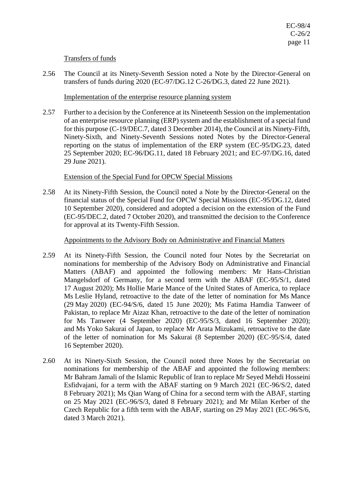## Transfers of funds

2.56 The Council at its Ninety-Seventh Session noted a Note by the Director-General on transfers of funds during 2020 (EC-97/DG.12 C-26/DG.3, dated 22 June 2021).

## Implementation of the enterprise resource planning system

2.57 Further to a decision by the Conference at its Nineteenth Session on the implementation of an enterprise resource planning (ERP) system and the establishment of a special fund for this purpose (C-19/DEC.7, dated 3 December 2014), the Council at its Ninety-Fifth, Ninety-Sixth, and Ninety-Seventh Sessions noted Notes by the Director-General reporting on the status of implementation of the ERP system (EC-95/DG.23, dated 25 September 2020; EC-96/DG.11, dated 18 February 2021; and EC-97/DG.16, dated 29 June 2021).

## Extension of the Special Fund for OPCW Special Missions

2.58 At its Ninety-Fifth Session, the Council noted a Note by the Director-General on the financial status of the Special Fund for OPCW Special Missions (EC-95/DG.12, dated 10 September 2020), considered and adopted a decision on the extension of the Fund (EC-95/DEC.2, dated 7 October 2020), and transmitted the decision to the Conference for approval at its Twenty-Fifth Session.

### Appointments to the Advisory Body on Administrative and Financial Matters

- 2.59 At its Ninety-Fifth Session, the Council noted four Notes by the Secretariat on nominations for membership of the Advisory Body on Administrative and Financial Matters (ABAF) and appointed the following members: Mr Hans-Christian Mangelsdorf of Germany, for a second term with the ABAF (EC-95/S/1, dated 17 August 2020); Ms Hollie Marie Mance of the United States of America, to replace Ms Leslie Hyland, retroactive to the date of the letter of nomination for Ms Mance (29 May 2020) (EC-94/S/6, dated 15 June 2020); Ms Fatima Hamdia Tanweer of Pakistan, to replace Mr Aizaz Khan, retroactive to the date of the letter of nomination for Ms Tanweer (4 September 2020) (EC-95/S/3, dated 16 September 2020); and Ms Yoko Sakurai of Japan, to replace Mr Arata Mizukami, retroactive to the date of the letter of nomination for Ms Sakurai (8 September 2020) (EC-95/S/4, dated 16 September 2020).
- 2.60 At its Ninety-Sixth Session, the Council noted three Notes by the Secretariat on nominations for membership of the ABAF and appointed the following members: Mr Bahram Jamali of the Islamic Republic of Iran to replace Mr Seyed Mehdi Hosseini Esfidvajani, for a term with the ABAF starting on 9 March 2021 (EC-96/S/2, dated 8 February 2021); Ms Qian Wang of China for a second term with the ABAF, starting on 25 May 2021 (EC-96/S/3, dated 8 February 2021); and Mr Milan Kerber of the Czech Republic for a fifth term with the ABAF, starting on 29 May 2021 (EC-96/S/6, dated 3 March 2021).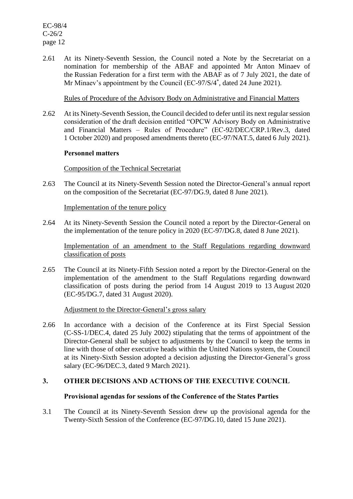2.61 At its Ninety-Seventh Session, the Council noted a Note by the Secretariat on a nomination for membership of the ABAF and appointed Mr Anton Minaev of the Russian Federation for a first term with the ABAF as of 7 July 2021, the date of Mr Minaev's appointment by the Council (EC-97/S/4\* , dated 24 June 2021).

Rules of Procedure of the Advisory Body on Administrative and Financial Matters

2.62 At its Ninety-Seventh Session, the Council decided to defer until its next regular session consideration of the draft decision entitled "OPCW Advisory Body on Administrative and Financial Matters – Rules of Procedure" (EC-92/DEC/CRP.1/Rev.3, dated 1 October 2020) and proposed amendments thereto (EC-97/NAT.5, dated 6 July 2021).

### **Personnel matters**

### Composition of the Technical Secretariat

2.63 The Council at its Ninety-Seventh Session noted the Director-General's annual report on the composition of the Secretariat (EC-97/DG.9, dated 8 June 2021).

### Implementation of the tenure policy

2.64 At its Ninety-Seventh Session the Council noted a report by the Director-General on the implementation of the tenure policy in 2020 (EC-97/DG.8, dated 8 June 2021).

Implementation of an amendment to the Staff Regulations regarding downward classification of posts

2.65 The Council at its Ninety-Fifth Session noted a report by the Director-General on the implementation of the amendment to the Staff Regulations regarding downward classification of posts during the period from 14 August 2019 to 13 August 2020 (EC-95/DG.7, dated 31 August 2020).

#### Adjustment to the Director-General's gross salary

2.66 In accordance with a decision of the Conference at its First Special Session (C-SS-1/DEC.4, dated 25 July 2002) stipulating that the terms of appointment of the Director-General shall be subject to adjustments by the Council to keep the terms in line with those of other executive heads within the United Nations system, the Council at its Ninety-Sixth Session adopted a decision adjusting the Director-General's gross salary (EC-96/DEC.3, dated 9 March 2021).

## **3. OTHER DECISIONS AND ACTIONS OF THE EXECUTIVE COUNCIL**

#### **Provisional agendas for sessions of the Conference of the States Parties**

3.1 The Council at its Ninety-Seventh Session drew up the provisional agenda for the Twenty-Sixth Session of the Conference (EC-97/DG.10, dated 15 June 2021).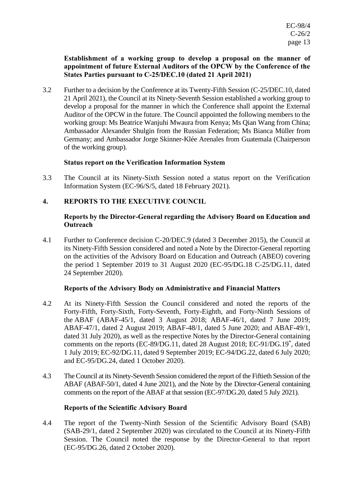**Establishment of a working group to develop a proposal on the manner of appointment of future External Auditors of the OPCW by the Conference of the States Parties pursuant to C-25/DEC.10 (dated 21 April 2021)** 

3.2 Further to a decision by the Conference at its Twenty-Fifth Session (C-25/DEC.10, dated 21 April 2021), the Council at its Ninety-Seventh Session established a working group to develop a proposal for the manner in which the Conference shall appoint the External Auditor of the OPCW in the future. The Council appointed the following members to the working group: Ms Beatrice Wanjuhi Mwaura from Kenya; Ms Qian Wang from China; Ambassador Alexander Shulgin from the Russian Federation; Ms Bianca Müller from Germany; and Ambassador Jorge Skinner-Klée Arenales from Guatemala (Chairperson of the working group).

### **Status report on the Verification Information System**

3.3 The Council at its Ninety-Sixth Session noted a status report on the Verification Information System (EC-96/S/5, dated 18 February 2021).

## **4. REPORTS TO THE EXECUTIVE COUNCIL**

### **Reports by the Director-General regarding the Advisory Board on Education and Outreach**

4.1 Further to Conference decision C-20/DEC.9 (dated 3 December 2015), the Council at its Ninety-Fifth Session considered and noted a Note by the Director-General reporting on the activities of the Advisory Board on Education and Outreach (ABEO) covering the period 1 September 2019 to 31 August 2020 (EC-95/DG.18 C-25/DG.11, dated 24 September 2020).

#### **Reports of the Advisory Body on Administrative and Financial Matters**

- 4.2 At its Ninety-Fifth Session the Council considered and noted the reports of the Forty-Fifth, Forty-Sixth, Forty-Seventh, Forty-Eighth, and Forty-Ninth Sessions of the ABAF (ABAF-45/1, dated 3 August 2018; ABAF-46/1, dated 7 June 2019; ABAF-47/1, dated 2 August 2019; ABAF-48/1, dated 5 June 2020; and ABAF-49/1, dated 31 July 2020), as well as the respective Notes by the Director-General containing comments on the reports (EC-89/DG.11, dated 28 August 2018; EC-91/DG.19\* , dated 1 July 2019; EC-92/DG.11, dated 9 September 2019; EC-94/DG.22, dated 6 July 2020; and EC-95/DG.24, dated 1 October 2020).
- 4.3 The Council at its Ninety-Seventh Session considered the report of the Fiftieth Session of the ABAF (ABAF-50/1, dated 4 June 2021), and the Note by the Director-General containing comments on the report of the ABAF at that session (EC-97/DG.20, dated 5 July 2021).

#### **Reports of the Scientific Advisory Board**

4.4 The report of the Twenty-Ninth Session of the Scientific Advisory Board (SAB) (SAB-29/1, dated 2 September 2020) was circulated to the Council at its Ninety-Fifth Session. The Council noted the response by the Director-General to that report (EC-95/DG.26, dated 2 October 2020).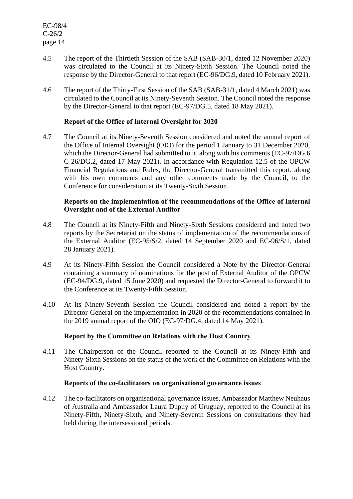- 4.5 The report of the Thirtieth Session of the SAB (SAB-30/1, dated 12 November 2020) was circulated to the Council at its Ninety-Sixth Session. The Council noted the response by the Director-General to that report (EC-96/DG.9, dated 10 February 2021).
- 4.6 The report of the Thirty-First Session of the SAB (SAB-31/1, dated 4 March 2021) was circulated to the Council at its Ninety-Seventh Session. The Council noted the response by the Director-General to that report (EC-97/DG.5, dated 18 May 2021).

## **Report of the Office of Internal Oversight for 2020**

4.7 The Council at its Ninety-Seventh Session considered and noted the annual report of the Office of Internal Oversight (OIO) for the period 1 January to 31 December 2020, which the Director-General had submitted to it, along with his comments (EC-97/DG.6) C-26/DG.2, dated 17 May 2021). In accordance with Regulation 12.5 of the OPCW Financial Regulations and Rules, the Director-General transmitted this report, along with his own comments and any other comments made by the Council, to the Conference for consideration at its Twenty-Sixth Session.

### **Reports on the implementation of the recommendations of the Office of Internal Oversight and of the External Auditor**

- 4.8 The Council at its Ninety-Fifth and Ninety-Sixth Sessions considered and noted two reports by the Secretariat on the status of implementation of the recommendations of the External Auditor (EC-95/S/2, dated 14 September 2020 and EC-96/S/1, dated 28 January 2021).
- 4.9 At its Ninety-Fifth Session the Council considered a Note by the Director-General containing a summary of nominations for the post of External Auditor of the OPCW (EC-94/DG.9, dated 15 June 2020) and requested the Director-General to forward it to the Conference at its Twenty-Fifth Session.
- 4.10 At its Ninety-Seventh Session the Council considered and noted a report by the Director-General on the implementation in 2020 of the recommendations contained in the 2019 annual report of the OIO (EC-97/DG.4, dated 14 May 2021).

#### **Report by the Committee on Relations with the Host Country**

4.11 The Chairperson of the Council reported to the Council at its Ninety-Fifth and Ninety-Sixth Sessions on the status of the work of the Committee on Relations with the Host Country.

#### **Reports of the co-facilitators on organisational governance issues**

4.12 The co-facilitators on organisational governance issues, Ambassador Matthew Neuhaus of Australia and Ambassador Laura Dupuy of Uruguay, reported to the Council at its Ninety-Fifth, Ninety-Sixth, and Ninety-Seventh Sessions on consultations they had held during the intersessional periods.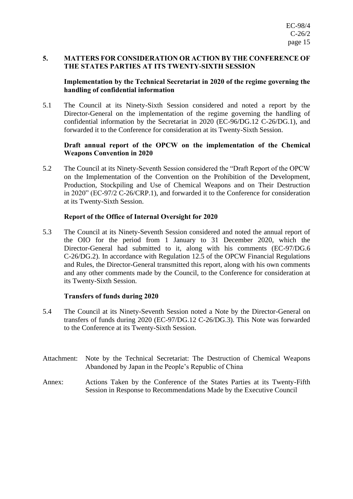### **5. MATTERS FOR CONSIDERATION OR ACTION BY THE CONFERENCE OF THE STATES PARTIES AT ITS TWENTY-SIXTH SESSION**

### **Implementation by the Technical Secretariat in 2020 of the regime governing the handling of confidential information**

5.1 The Council at its Ninety-Sixth Session considered and noted a report by the Director-General on the implementation of the regime governing the handling of confidential information by the Secretariat in 2020 (EC-96/DG.12 C-26/DG.1), and forwarded it to the Conference for consideration at its Twenty-Sixth Session.

### **Draft annual report of the OPCW on the implementation of the Chemical Weapons Convention in 2020**

5.2 The Council at its Ninety-Seventh Session considered the "Draft Report of the OPCW on the Implementation of the Convention on the Prohibition of the Development, Production, Stockpiling and Use of Chemical Weapons and on Their Destruction in 2020" (EC-97/2 C-26/CRP.1), and forwarded it to the Conference for consideration at its Twenty-Sixth Session.

### **Report of the Office of Internal Oversight for 2020**

5.3 The Council at its Ninety-Seventh Session considered and noted the annual report of the OIO for the period from 1 January to 31 December 2020, which the Director-General had submitted to it, along with his comments (EC-97/DG.6 C-26/DG.2). In accordance with Regulation 12.5 of the OPCW Financial Regulations and Rules, the Director-General transmitted this report, along with his own comments and any other comments made by the Council, to the Conference for consideration at its Twenty-Sixth Session.

## **Transfers of funds during 2020**

- 5.4 The Council at its Ninety-Seventh Session noted a Note by the Director-General on transfers of funds during 2020 (EC-97/DG.12 C-26/DG.3). This Note was forwarded to the Conference at its Twenty-Sixth Session.
- Attachment: Note by the Technical Secretariat: The Destruction of Chemical Weapons Abandoned by Japan in the People's Republic of China
- Annex: Actions Taken by the Conference of the States Parties at its Twenty-Fifth Session in Response to Recommendations Made by the Executive Council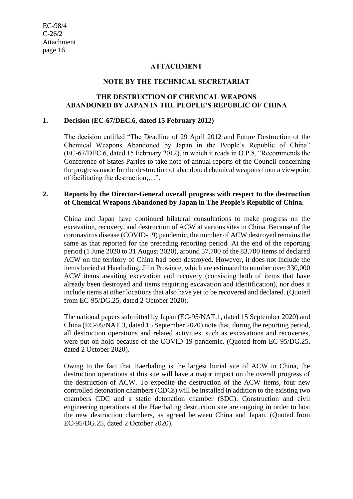### **ATTACHMENT**

#### **NOTE BY THE TECHNICAL SECRETARIAT**

### **THE DESTRUCTION OF CHEMICAL WEAPONS ABANDONED BY JAPAN IN THE PEOPLE'S REPUBLIC OF CHINA**

#### **1. Decision (EC-67/DEC.6, dated 15 February 2012)**

The decision entitled "The Deadline of 29 April 2012 and Future Destruction of the Chemical Weapons Abandoned by Japan in the People's Republic of China" (EC-67/DEC.6, dated 15 February 2012), in which it reads in O.P.8, "Recommends the Conference of States Parties to take note of annual reports of the Council concerning the progress made for the destruction of abandoned chemical weapons from a viewpoint of facilitating the destruction;…".

### **2. Reports by the Director-General overall progress with respect to the destruction of Chemical Weapons Abandoned by Japan in The People's Republic of China.**

China and Japan have continued bilateral consultations to make progress on the excavation, recovery, and destruction of ACW at various sites in China. Because of the coronavirus disease (COVID-19) pandemic, the number of ACW destroyed remains the same as that reported for the preceding reporting period. At the end of the reporting period (1 June 2020 to 31 August 2020), around 57,700 of the 83,700 items of declared ACW on the territory of China had been destroyed. However, it does not include the items buried at Haerbaling, Jilin Province, which are estimated to number over 330,000 ACW items awaiting excavation and recovery (consisting both of items that have already been destroyed and items requiring excavation and identification), nor does it include items at other locations that also have yet to be recovered and declared. (Quoted from EC-95/DG.25, dated 2 October 2020).

The national papers submitted by Japan (EC-95/NAT.1, dated 15 September 2020) and China (EC-95/NAT.3, dated 15 September 2020) note that, during the reporting period, all destruction operations and related activities, such as excavations and recoveries, were put on hold because of the COVID-19 pandemic. (Quoted from EC-95/DG.25, dated 2 October 2020).

Owing to the fact that Haerbaling is the largest burial site of ACW in China, the destruction operations at this site will have a major impact on the overall progress of the destruction of ACW. To expedite the destruction of the ACW items, four new controlled detonation chambers (CDCs) will be installed in addition to the existing two chambers CDC and a static detonation chamber (SDC). Construction and civil engineering operations at the Haerbaling destruction site are ongoing in order to host the new destruction chambers, as agreed between China and Japan. (Quoted from EC-95/DG.25, dated 2 October 2020).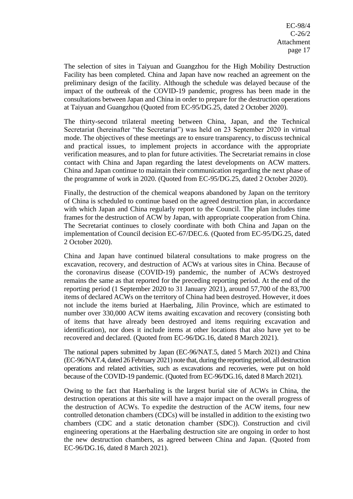The selection of sites in Taiyuan and Guangzhou for the High Mobility Destruction Facility has been completed. China and Japan have now reached an agreement on the preliminary design of the facility. Although the schedule was delayed because of the impact of the outbreak of the COVID-19 pandemic, progress has been made in the consultations between Japan and China in order to prepare for the destruction operations at Taiyuan and Guangzhou (Quoted from EC-95/DG.25, dated 2 October 2020).

The thirty-second trilateral meeting between China, Japan, and the Technical Secretariat (hereinafter "the Secretariat") was held on 23 September 2020 in virtual mode. The objectives of these meetings are to ensure transparency, to discuss technical and practical issues, to implement projects in accordance with the appropriate verification measures, and to plan for future activities. The Secretariat remains in close contact with China and Japan regarding the latest developments on ACW matters. China and Japan continue to maintain their communication regarding the next phase of the programme of work in 2020. (Quoted from EC-95/DG.25, dated 2 October 2020).

Finally, the destruction of the chemical weapons abandoned by Japan on the territory of China is scheduled to continue based on the agreed destruction plan, in accordance with which Japan and China regularly report to the Council. The plan includes time frames for the destruction of ACW by Japan, with appropriate cooperation from China. The Secretariat continues to closely coordinate with both China and Japan on the implementation of Council decision EC-67/DEC.6. (Quoted from EC-95/DG.25, dated 2 October 2020).

China and Japan have continued bilateral consultations to make progress on the excavation, recovery, and destruction of ACWs at various sites in China. Because of the coronavirus disease (COVID-19) pandemic, the number of ACWs destroyed remains the same as that reported for the preceding reporting period. At the end of the reporting period (1 September 2020 to 31 January 2021), around 57,700 of the 83,700 items of declared ACWs on the territory of China had been destroyed. However, it does not include the items buried at Haerbaling, Jilin Province, which are estimated to number over 330,000 ACW items awaiting excavation and recovery (consisting both of items that have already been destroyed and items requiring excavation and identification), nor does it include items at other locations that also have yet to be recovered and declared. (Quoted from EC-96/DG.16, dated 8 March 2021).

The national papers submitted by Japan (EC-96/NAT.5, dated 5 March 2021) and China (EC-96/NAT.4, dated 26 February 2021) note that, during the reporting period, all destruction operations and related activities, such as excavations and recoveries, were put on hold because of the COVID-19 pandemic. (Quoted from EC-96/DG.16, dated 8 March 2021).

Owing to the fact that Haerbaling is the largest burial site of ACWs in China, the destruction operations at this site will have a major impact on the overall progress of the destruction of ACWs. To expedite the destruction of the ACW items, four new controlled detonation chambers (CDCs) will be installed in addition to the existing two chambers (CDC and a static detonation chamber (SDC)). Construction and civil engineering operations at the Haerbaling destruction site are ongoing in order to host the new destruction chambers, as agreed between China and Japan. (Quoted from EC-96/DG.16, dated 8 March 2021).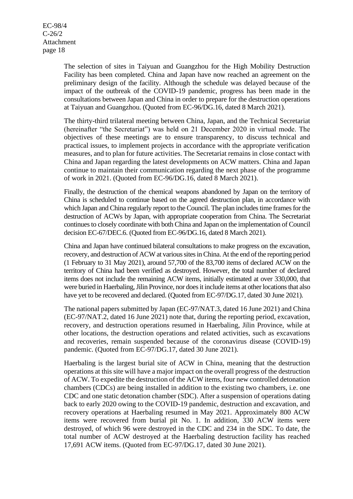The selection of sites in Taiyuan and Guangzhou for the High Mobility Destruction Facility has been completed. China and Japan have now reached an agreement on the preliminary design of the facility. Although the schedule was delayed because of the impact of the outbreak of the COVID-19 pandemic, progress has been made in the consultations between Japan and China in order to prepare for the destruction operations at Taiyuan and Guangzhou. (Quoted from EC-96/DG.16, dated 8 March 2021).

The thirty-third trilateral meeting between China, Japan, and the Technical Secretariat (hereinafter "the Secretariat") was held on 21 December 2020 in virtual mode. The objectives of these meetings are to ensure transparency, to discuss technical and practical issues, to implement projects in accordance with the appropriate verification measures, and to plan for future activities. The Secretariat remains in close contact with China and Japan regarding the latest developments on ACW matters. China and Japan continue to maintain their communication regarding the next phase of the programme of work in 2021. (Quoted from EC-96/DG.16, dated 8 March 2021).

Finally, the destruction of the chemical weapons abandoned by Japan on the territory of China is scheduled to continue based on the agreed destruction plan, in accordance with which Japan and China regularly report to the Council. The plan includes time frames for the destruction of ACWs by Japan, with appropriate cooperation from China. The Secretariat continues to closely coordinate with both China and Japan on the implementation of Council decision EC-67/DEC.6. (Quoted from EC-96/DG.16, dated 8 March 2021).

China and Japan have continued bilateral consultations to make progress on the excavation, recovery, and destruction of ACW at various sites in China. At the end of the reporting period (1 February to 31 May 2021), around 57,700 of the 83,700 items of declared ACW on the territory of China had been verified as destroyed. However, the total number of declared items does not include the remaining ACW items, initially estimated at over 330,000, that were buried in Haerbaling, Jilin Province, nor does it include items at other locations that also have yet to be recovered and declared. (Quoted from EC-97/DG.17, dated 30 June 2021).

The national papers submitted by Japan (EC-97/NAT.3, dated 16 June 2021) and China (EC-97/NAT.2, dated 16 June 2021) note that, during the reporting period, excavation, recovery, and destruction operations resumed in Haerbaling, Jilin Province, while at other locations, the destruction operations and related activities, such as excavations and recoveries, remain suspended because of the coronavirus disease (COVID-19) pandemic. (Quoted from EC-97/DG.17, dated 30 June 2021).

Haerbaling is the largest burial site of ACW in China, meaning that the destruction operations at this site will have a major impact on the overall progress of the destruction of ACW. To expedite the destruction of the ACW items, four new controlled detonation chambers (CDCs) are being installed in addition to the existing two chambers, i.e. one CDC and one static detonation chamber (SDC). After a suspension of operations dating back to early 2020 owing to the COVID-19 pandemic, destruction and excavation, and recovery operations at Haerbaling resumed in May 2021. Approximately 800 ACW items were recovered from burial pit No. 1. In addition, 330 ACW items were destroyed, of which 96 were destroyed in the CDC and 234 in the SDC. To date, the total number of ACW destroyed at the Haerbaling destruction facility has reached 17,691 ACW items. (Quoted from EC-97/DG.17, dated 30 June 2021).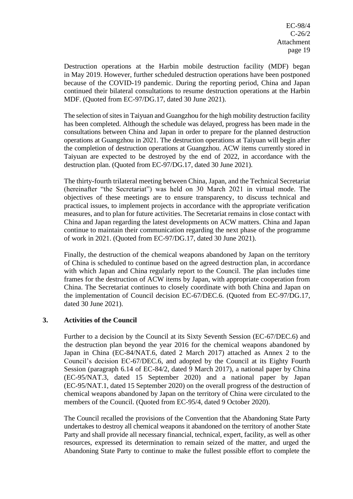EC-98/4  $C-26/2$ Attachment page 19

Destruction operations at the Harbin mobile destruction facility (MDF) began in May 2019. However, further scheduled destruction operations have been postponed because of the COVID-19 pandemic. During the reporting period, China and Japan continued their bilateral consultations to resume destruction operations at the Harbin MDF. (Quoted from EC-97/DG.17, dated 30 June 2021).

The selection of sites in Taiyuan and Guangzhou for the high mobility destruction facility has been completed. Although the schedule was delayed, progress has been made in the consultations between China and Japan in order to prepare for the planned destruction operations at Guangzhou in 2021. The destruction operations at Taiyuan will begin after the completion of destruction operations at Guangzhou. ACW items currently stored in Taiyuan are expected to be destroyed by the end of 2022, in accordance with the destruction plan. (Quoted from EC-97/DG.17, dated 30 June 2021).

The thirty-fourth trilateral meeting between China, Japan, and the Technical Secretariat (hereinafter "the Secretariat") was held on 30 March 2021 in virtual mode. The objectives of these meetings are to ensure transparency, to discuss technical and practical issues, to implement projects in accordance with the appropriate verification measures, and to plan for future activities. The Secretariat remains in close contact with China and Japan regarding the latest developments on ACW matters. China and Japan continue to maintain their communication regarding the next phase of the programme of work in 2021. (Quoted from EC-97/DG.17, dated 30 June 2021).

Finally, the destruction of the chemical weapons abandoned by Japan on the territory of China is scheduled to continue based on the agreed destruction plan, in accordance with which Japan and China regularly report to the Council. The plan includes time frames for the destruction of ACW items by Japan, with appropriate cooperation from China. The Secretariat continues to closely coordinate with both China and Japan on the implementation of Council decision EC-67/DEC.6. (Quoted from EC-97/DG.17, dated 30 June 2021).

#### **3. Activities of the Council**

Further to a decision by the Council at its Sixty Seventh Session (EC-67/DEC.6) and the destruction plan beyond the year 2016 for the chemical weapons abandoned by Japan in China (EC-84/NAT.6, dated 2 March 2017) attached as Annex 2 to the Council's decision EC-67/DEC.6, and adopted by the Council at its Eighty Fourth Session (paragraph 6.14 of EC-84/2, dated 9 March 2017), a national paper by China (EC-95/NAT.3, dated 15 September 2020) and a national paper by Japan (EC-95/NAT.1, dated 15 September 2020) on the overall progress of the destruction of chemical weapons abandoned by Japan on the territory of China were circulated to the members of the Council. (Quoted from EC-95/4, dated 9 October 2020).

The Council recalled the provisions of the Convention that the Abandoning State Party undertakes to destroy all chemical weapons it abandoned on the territory of another State Party and shall provide all necessary financial, technical, expert, facility, as well as other resources, expressed its determination to remain seized of the matter, and urged the Abandoning State Party to continue to make the fullest possible effort to complete the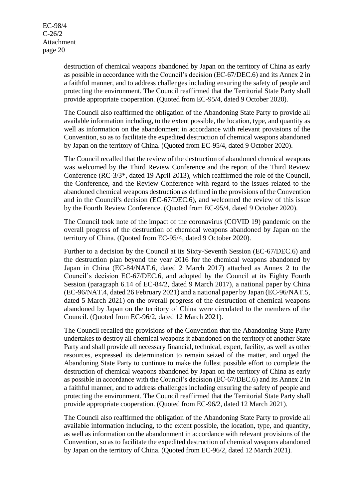destruction of chemical weapons abandoned by Japan on the territory of China as early as possible in accordance with the Council's decision (EC-67/DEC.6) and its Annex 2 in a faithful manner, and to address challenges including ensuring the safety of people and protecting the environment. The Council reaffirmed that the Territorial State Party shall provide appropriate cooperation. (Quoted from EC-95/4, dated 9 October 2020).

The Council also reaffirmed the obligation of the Abandoning State Party to provide all available information including, to the extent possible, the location, type, and quantity as well as information on the abandonment in accordance with relevant provisions of the Convention, so as to facilitate the expedited destruction of chemical weapons abandoned by Japan on the territory of China. (Quoted from EC-95/4, dated 9 October 2020).

The Council recalled that the review of the destruction of abandoned chemical weapons was welcomed by the Third Review Conference and the report of the Third Review Conference (RC-3/3\*, dated 19 April 2013), which reaffirmed the role of the Council, the Conference, and the Review Conference with regard to the issues related to the abandoned chemical weapons destruction as defined in the provisions of the Convention and in the Council's decision (EC-67/DEC.6), and welcomed the review of this issue by the Fourth Review Conference. (Quoted from EC-95/4, dated 9 October 2020).

The Council took note of the impact of the coronavirus (COVID 19) pandemic on the overall progress of the destruction of chemical weapons abandoned by Japan on the territory of China. (Quoted from EC-95/4, dated 9 October 2020).

Further to a decision by the Council at its Sixty-Seventh Session (EC-67/DEC.6) and the destruction plan beyond the year 2016 for the chemical weapons abandoned by Japan in China (EC-84/NAT.6, dated 2 March 2017) attached as Annex 2 to the Council's decision EC-67/DEC.6, and adopted by the Council at its Eighty Fourth Session (paragraph 6.14 of EC-84/2, dated 9 March 2017), a national paper by China (EC-96/NAT.4, dated 26 February 2021) and a national paper by Japan (EC-96/NAT.5, dated 5 March 2021) on the overall progress of the destruction of chemical weapons abandoned by Japan on the territory of China were circulated to the members of the Council. (Quoted from EC-96/2, dated 12 March 2021).

The Council recalled the provisions of the Convention that the Abandoning State Party undertakes to destroy all chemical weapons it abandoned on the territory of another State Party and shall provide all necessary financial, technical, expert, facility, as well as other resources, expressed its determination to remain seized of the matter, and urged the Abandoning State Party to continue to make the fullest possible effort to complete the destruction of chemical weapons abandoned by Japan on the territory of China as early as possible in accordance with the Council's decision (EC-67/DEC.6) and its Annex 2 in a faithful manner, and to address challenges including ensuring the safety of people and protecting the environment. The Council reaffirmed that the Territorial State Party shall provide appropriate cooperation. (Quoted from EC-96/2, dated 12 March 2021).

The Council also reaffirmed the obligation of the Abandoning State Party to provide all available information including, to the extent possible, the location, type, and quantity, as well as information on the abandonment in accordance with relevant provisions of the Convention, so as to facilitate the expedited destruction of chemical weapons abandoned by Japan on the territory of China. (Quoted from EC-96/2, dated 12 March 2021).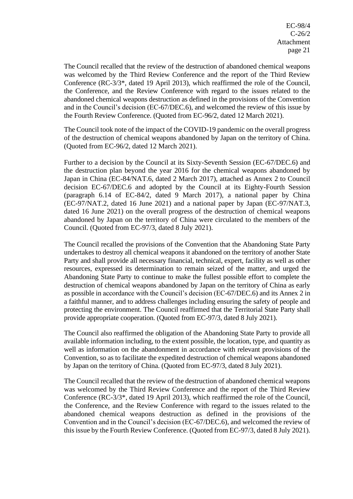The Council recalled that the review of the destruction of abandoned chemical weapons was welcomed by the Third Review Conference and the report of the Third Review Conference (RC-3/3\*, dated 19 April 2013), which reaffirmed the role of the Council, the Conference, and the Review Conference with regard to the issues related to the abandoned chemical weapons destruction as defined in the provisions of the Convention and in the Council's decision (EC-67/DEC.6), and welcomed the review of this issue by the Fourth Review Conference. (Quoted from EC-96/2, dated 12 March 2021).

The Council took note of the impact of the COVID-19 pandemic on the overall progress of the destruction of chemical weapons abandoned by Japan on the territory of China. (Quoted from EC-96/2, dated 12 March 2021).

Further to a decision by the Council at its Sixty-Seventh Session (EC-67/DEC.6) and the destruction plan beyond the year 2016 for the chemical weapons abandoned by Japan in China (EC-84/NAT.6, dated 2 March 2017), attached as Annex 2 to Council decision EC-67/DEC.6 and adopted by the Council at its Eighty-Fourth Session (paragraph 6.14 of EC-84/2, dated 9 March 2017), a national paper by China (EC-97/NAT.2, dated 16 June 2021) and a national paper by Japan (EC-97/NAT.3, dated 16 June 2021) on the overall progress of the destruction of chemical weapons abandoned by Japan on the territory of China were circulated to the members of the Council. (Quoted from EC-97/3, dated 8 July 2021).

The Council recalled the provisions of the Convention that the Abandoning State Party undertakes to destroy all chemical weapons it abandoned on the territory of another State Party and shall provide all necessary financial, technical, expert, facility as well as other resources, expressed its determination to remain seized of the matter, and urged the Abandoning State Party to continue to make the fullest possible effort to complete the destruction of chemical weapons abandoned by Japan on the territory of China as early as possible in accordance with the Council's decision (EC-67/DEC.6) and its Annex 2 in a faithful manner, and to address challenges including ensuring the safety of people and protecting the environment. The Council reaffirmed that the Territorial State Party shall provide appropriate cooperation. (Quoted from EC-97/3, dated 8 July 2021).

The Council also reaffirmed the obligation of the Abandoning State Party to provide all available information including, to the extent possible, the location, type, and quantity as well as information on the abandonment in accordance with relevant provisions of the Convention, so as to facilitate the expedited destruction of chemical weapons abandoned by Japan on the territory of China. (Quoted from EC-97/3, dated 8 July 2021).

The Council recalled that the review of the destruction of abandoned chemical weapons was welcomed by the Third Review Conference and the report of the Third Review Conference (RC-3/3\*, dated 19 April 2013), which reaffirmed the role of the Council, the Conference, and the Review Conference with regard to the issues related to the abandoned chemical weapons destruction as defined in the provisions of the Convention and in the Council's decision (EC-67/DEC.6), and welcomed the review of this issue by the Fourth Review Conference. (Quoted from EC-97/3, dated 8 July 2021).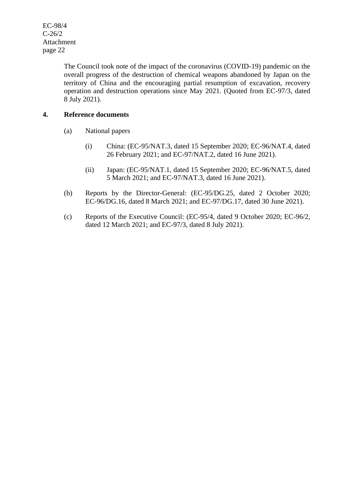EC-98/4 C-26/2 Attachment page 22

> The Council took note of the impact of the coronavirus (COVID-19) pandemic on the overall progress of the destruction of chemical weapons abandoned by Japan on the territory of China and the encouraging partial resumption of excavation, recovery operation and destruction operations since May 2021. (Quoted from EC-97/3, dated 8 July 2021).

## **4. Reference documents**

- (a) National papers
	- (i) China: (EC-95/NAT.3, dated 15 September 2020; EC-96/NAT.4, dated 26 February 2021; and EC-97/NAT.2, dated 16 June 2021).
	- (ii) Japan: (EC-95/NAT.1, dated 15 September 2020; EC-96/NAT.5, dated 5 March 2021; and EC-97/NAT.3, dated 16 June 2021).
- (b) Reports by the Director-General: (EC-95/DG.25, dated 2 October 2020; EC-96/DG.16, dated 8 March 2021; and EC-97/DG.17, dated 30 June 2021).
- (c) Reports of the Executive Council: (EC-95/4, dated 9 October 2020; EC-96/2, dated 12 March 2021; and EC-97/3, dated 8 July 2021).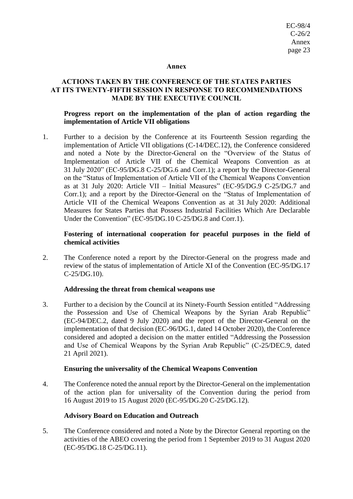#### **Annex**

### **ACTIONS TAKEN BY THE CONFERENCE OF THE STATES PARTIES AT ITS TWENTY-FIFTH SESSION IN RESPONSE TO RECOMMENDATIONS MADE BY THE EXECUTIVE COUNCIL**

### **Progress report on the implementation of the plan of action regarding the implementation of Article VII obligations**

1. Further to a decision by the Conference at its Fourteenth Session regarding the implementation of Article VII obligations (C-14/DEC.12), the Conference considered and noted a Note by the Director-General on the "Overview of the Status of Implementation of Article VII of the Chemical Weapons Convention as at 31 July 2020" (EC-95/DG.8 C-25/DG.6 and Corr.1); a report by the Director-General on the "Status of Implementation of Article VII of the Chemical Weapons Convention as at 31 July 2020: Article VII – Initial Measures" (EC-95/DG.9 C-25/DG.7 and Corr.1); and a report by the Director-General on the "Status of Implementation of Article VII of the Chemical Weapons Convention as at 31 July 2020: Additional Measures for States Parties that Possess Industrial Facilities Which Are Declarable Under the Convention" (EC-95/DG.10 C-25/DG.8 and Corr.1).

### **Fostering of international cooperation for peaceful purposes in the field of chemical activities**

2. The Conference noted a report by the Director-General on the progress made and review of the status of implementation of Article XI of the Convention (EC-95/DG.17 C-25/DG.10).

#### **Addressing the threat from chemical weapons use**

3. Further to a decision by the Council at its Ninety-Fourth Session entitled "Addressing the Possession and Use of Chemical Weapons by the Syrian Arab Republic" (EC-94/DEC.2, dated 9 July 2020) and the report of the Director-General on the implementation of that decision (EC-96/DG.1, dated 14 October 2020), the Conference considered and adopted a decision on the matter entitled "Addressing the Possession and Use of Chemical Weapons by the Syrian Arab Republic" (C-25/DEC.9, dated 21 April 2021).

#### **Ensuring the universality of the Chemical Weapons Convention**

4. The Conference noted the annual report by the Director-General on the implementation of the action plan for universality of the Convention during the period from 16 August 2019 to 15 August 2020 (EC-95/DG.20 C-25/DG.12).

#### **Advisory Board on Education and Outreach**

5. The Conference considered and noted a Note by the Director General reporting on the activities of the ABEO covering the period from 1 September 2019 to 31 August 2020 (EC-95/DG.18 C-25/DG.11).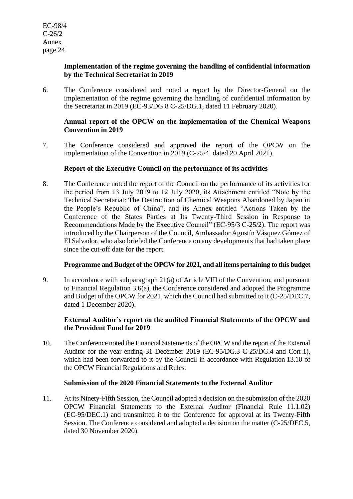## **Implementation of the regime governing the handling of confidential information by the Technical Secretariat in 2019**

6. The Conference considered and noted a report by the Director-General on the implementation of the regime governing the handling of confidential information by the Secretariat in 2019 (EC-93/DG.8 C-25/DG.1, dated 11 February 2020).

### **Annual report of the OPCW on the implementation of the Chemical Weapons Convention in 2019**

7. The Conference considered and approved the report of the OPCW on the implementation of the Convention in 2019 (C-25/4, dated 20 April 2021).

### **Report of the Executive Council on the performance of its activities**

8. The Conference noted the report of the Council on the performance of its activities for the period from 13 July 2019 to 12 July 2020, its Attachment entitled "Note by the Technical Secretariat: The Destruction of Chemical Weapons Abandoned by Japan in the People's Republic of China", and its Annex entitled "Actions Taken by the Conference of the States Parties at Its Twenty-Third Session in Response to Recommendations Made by the Executive Council" (EC-95/3 C-25/2). The report was introduced by the Chairperson of the Council, Ambassador Agustín Vásquez Gómez of El Salvador, who also briefed the Conference on any developments that had taken place since the cut-off date for the report.

#### **Programme and Budget of the OPCW for 2021, and all items pertaining to this budget**

9. In accordance with subparagraph 21(a) of Article VIII of the Convention, and pursuant to Financial Regulation 3.6(a), the Conference considered and adopted the Programme and Budget of the OPCW for 2021, which the Council had submitted to it (C-25/DEC.7, dated 1 December 2020).

### **External Auditor's report on the audited Financial Statements of the OPCW and the Provident Fund for 2019**

10. The Conference noted the Financial Statements of the OPCW and the report of the External Auditor for the year ending 31 December 2019 (EC-95/DG.3 C-25/DG.4 and Corr.1), which had been forwarded to it by the Council in accordance with Regulation 13.10 of the OPCW Financial Regulations and Rules.

#### **Submission of the 2020 Financial Statements to the External Auditor**

11. At its Ninety-Fifth Session, the Council adopted a decision on the submission of the 2020 OPCW Financial Statements to the External Auditor (Financial Rule 11.1.02) (EC-95/DEC.1) and transmitted it to the Conference for approval at its Twenty-Fifth Session. The Conference considered and adopted a decision on the matter (C-25/DEC.5, dated 30 November 2020).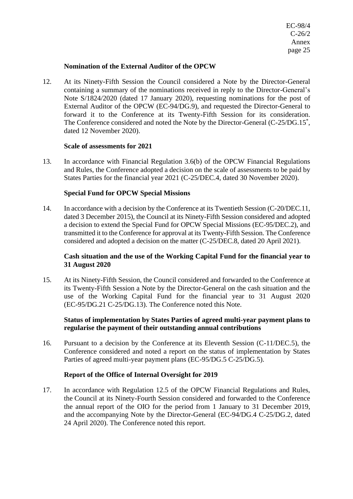#### **Nomination of the External Auditor of the OPCW**

12. At its Ninety-Fifth Session the Council considered a Note by the Director-General containing a summary of the nominations received in reply to the Director-General's Note S/1824/2020 (dated 17 January 2020), requesting nominations for the post of External Auditor of the OPCW (EC-94/DG.9), and requested the Director-General to forward it to the Conference at its Twenty-Fifth Session for its consideration. The Conference considered and noted the Note by the Director-General (C-25/DG.15<sup>\*</sup>, dated 12 November 2020).

#### **Scale of assessments for 2021**

13. In accordance with Financial Regulation 3.6(b) of the OPCW Financial Regulations and Rules, the Conference adopted a decision on the scale of assessments to be paid by States Parties for the financial year 2021 (C-25/DEC.4, dated 30 November 2020).

#### **Special Fund for OPCW Special Missions**

14. In accordance with a decision by the Conference at its Twentieth Session (C-20/DEC.11, dated 3 December 2015), the Council at its Ninety-Fifth Session considered and adopted a decision to extend the Special Fund for OPCW Special Missions (EC-95/DEC.2), and transmitted it to the Conference for approval at its Twenty-Fifth Session. The Conference considered and adopted a decision on the matter (C-25/DEC.8, dated 20 April 2021).

## **Cash situation and the use of the Working Capital Fund for the financial year to 31 August 2020**

15. At its Ninety-Fifth Session, the Council considered and forwarded to the Conference at its Twenty-Fifth Session a Note by the Director-General on the cash situation and the use of the Working Capital Fund for the financial year to 31 August 2020 (EC-95/DG.21 C-25/DG.13). The Conference noted this Note.

### **Status of implementation by States Parties of agreed multi-year payment plans to regularise the payment of their outstanding annual contributions**

16. Pursuant to a decision by the Conference at its Eleventh Session (C-11/DEC.5), the Conference considered and noted a report on the status of implementation by States Parties of agreed multi-year payment plans (EC-95/DG.5 C-25/DG.5).

#### **Report of the Office of Internal Oversight for 2019**

17. In accordance with Regulation 12.5 of the OPCW Financial Regulations and Rules, the Council at its Ninety-Fourth Session considered and forwarded to the Conference the annual report of the OIO for the period from 1 January to 31 December 2019, and the accompanying Note by the Director-General (EC-94/DG.4 C-25/DG.2, dated 24 April 2020). The Conference noted this report.